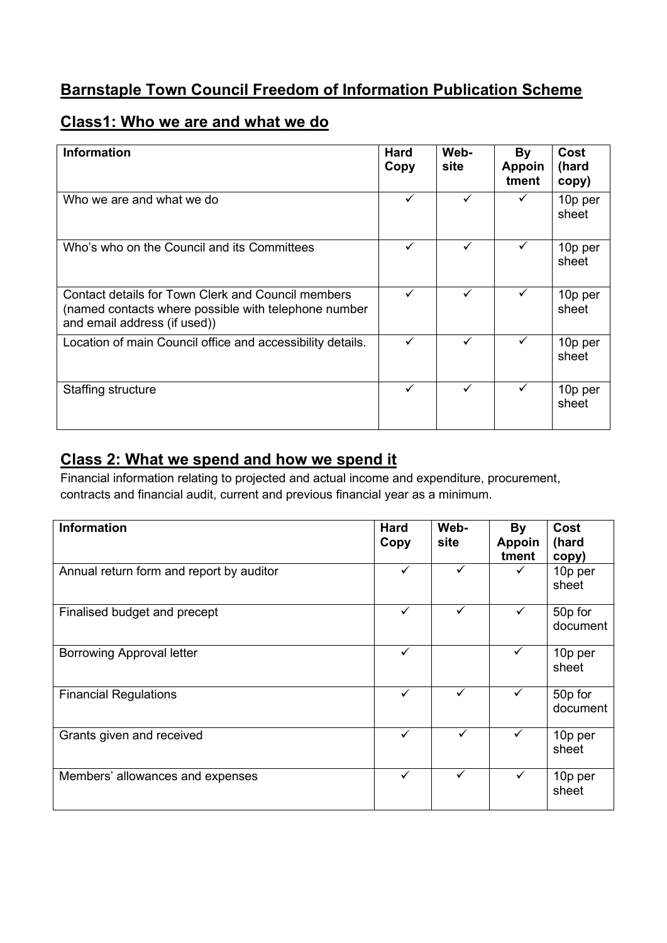# **Barnstaple Town Council Freedom of Information Publication Scheme**

## **Class1: Who we are and what we do**

| <b>Information</b>                                                                                                                         | <b>Hard</b><br>Copy | Web-<br>site | By<br><b>Appoin</b><br>tment | Cost<br>(hard<br>copy) |
|--------------------------------------------------------------------------------------------------------------------------------------------|---------------------|--------------|------------------------------|------------------------|
| Who we are and what we do                                                                                                                  |                     |              |                              | 10p per<br>sheet       |
| Who's who on the Council and its Committees                                                                                                | ✓                   | ✓            | ✓                            | 10p per<br>sheet       |
| Contact details for Town Clerk and Council members<br>(named contacts where possible with telephone number<br>and email address (if used)) | $\checkmark$        | ✓            | ✓                            | 10p per<br>sheet       |
| Location of main Council office and accessibility details.                                                                                 | ✓                   | $\checkmark$ | ✓                            | 10p per<br>sheet       |
| Staffing structure                                                                                                                         | ✓                   | ✓            | ✓                            | 10p per<br>sheet       |

### **Class 2: What we spend and how we spend it**

Financial information relating to projected and actual income and expenditure, procurement, contracts and financial audit, current and previous financial year as a minimum.

| <b>Information</b>                       | <b>Hard</b><br>Copy | Web-<br>site | <b>By</b><br><b>Appoin</b><br>tment | Cost<br>(hard<br>copy) |
|------------------------------------------|---------------------|--------------|-------------------------------------|------------------------|
| Annual return form and report by auditor | $\checkmark$        | ✓            |                                     | 10p per<br>sheet       |
| Finalised budget and precept             | $\checkmark$        | ✓            | $\checkmark$                        | 50p for<br>document    |
| <b>Borrowing Approval letter</b>         | $\checkmark$        |              | $\checkmark$                        | 10p per<br>sheet       |
| <b>Financial Regulations</b>             | $\checkmark$        | ✓            | $\checkmark$                        | 50p for<br>document    |
| Grants given and received                | $\checkmark$        | $\checkmark$ |                                     | 10p per<br>sheet       |
| Members' allowances and expenses         | $\checkmark$        | ✓            | ✓                                   | 10p per<br>sheet       |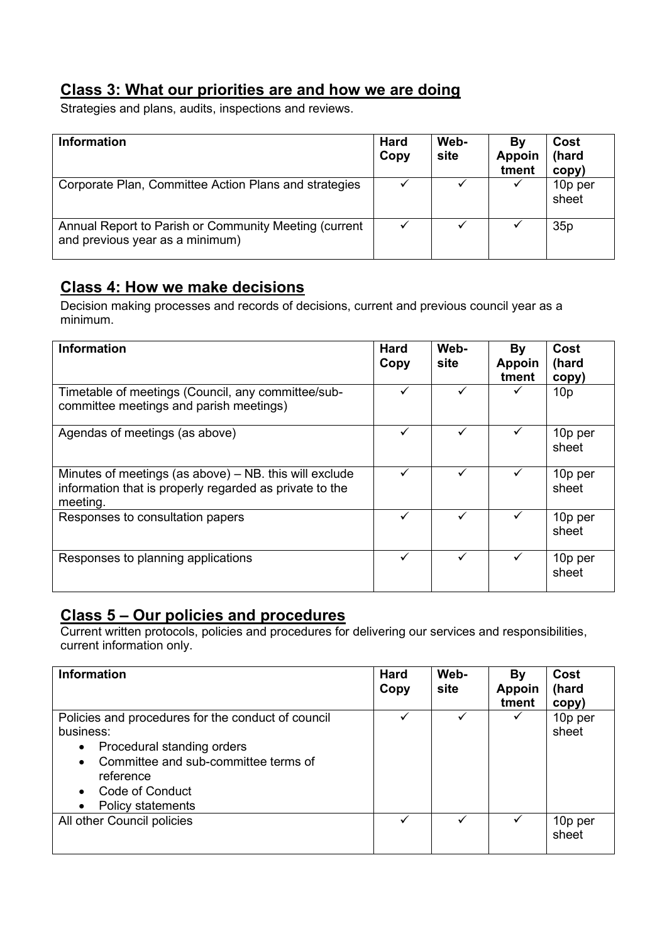### **Class 3: What our priorities are and how we are doing**

Strategies and plans, audits, inspections and reviews.

| <b>Information</b>                                                                       | <b>Hard</b><br>Copy | Web-<br>site | By<br><b>Appoin</b><br>tment | Cost<br>(hard<br>copy) |
|------------------------------------------------------------------------------------------|---------------------|--------------|------------------------------|------------------------|
| Corporate Plan, Committee Action Plans and strategies                                    |                     |              |                              | 10p per<br>sheet       |
| Annual Report to Parish or Community Meeting (current<br>and previous year as a minimum) |                     |              |                              | 35 <sub>p</sub>        |

### **Class 4: How we make decisions**

Decision making processes and records of decisions, current and previous council year as a minimum.

| <b>Information</b>                                                                                                              | <b>Hard</b><br>Copy | Web-<br>site | Bγ<br><b>Appoin</b><br>tment | Cost<br>(hard<br>copy) |
|---------------------------------------------------------------------------------------------------------------------------------|---------------------|--------------|------------------------------|------------------------|
| Timetable of meetings (Council, any committee/sub-<br>committee meetings and parish meetings)                                   | $\checkmark$        |              |                              | 10 <sub>p</sub>        |
| Agendas of meetings (as above)                                                                                                  | ✓                   | ✓            |                              | 10p per<br>sheet       |
| Minutes of meetings (as above) $-$ NB. this will exclude<br>information that is properly regarded as private to the<br>meeting. | $\checkmark$        |              |                              | 10p per<br>sheet       |
| Responses to consultation papers                                                                                                | ✓                   | ✓            |                              | 10p per<br>sheet       |
| Responses to planning applications                                                                                              | ✓                   | ✓            |                              | 10p per<br>sheet       |

### **Class 5 – Our policies and procedures**

Current written protocols, policies and procedures for delivering our services and responsibilities, current information only.

| <b>Information</b>                                                                                                                                                                                      | <b>Hard</b><br>Copy | Web-<br>site | By<br><b>Appoin</b><br>tment | Cost<br>(hard<br>copy) |
|---------------------------------------------------------------------------------------------------------------------------------------------------------------------------------------------------------|---------------------|--------------|------------------------------|------------------------|
| Policies and procedures for the conduct of council<br>business:<br>Procedural standing orders<br>$\bullet$<br>Committee and sub-committee terms of<br>reference<br>Code of Conduct<br>Policy statements |                     | ✓            | ✓                            | 10p per<br>sheet       |
| All other Council policies                                                                                                                                                                              | ✓                   | ✓            | ✓                            | 10p per<br>sheet       |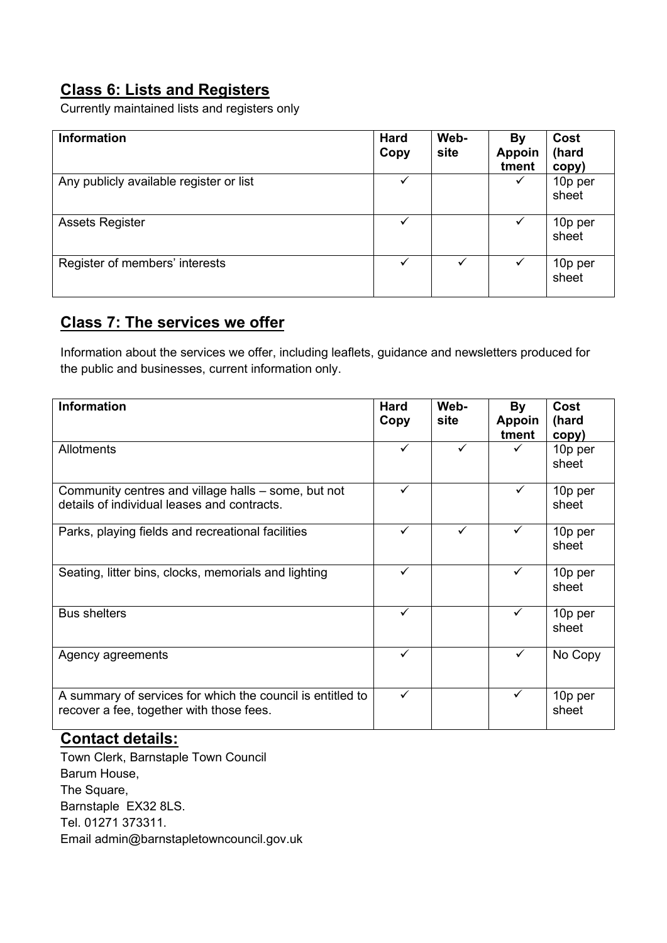# **Class 6: Lists and Registers**

Currently maintained lists and registers only

| <b>Information</b>                      | <b>Hard</b><br>Copy | Web-<br>site | By<br><b>Appoin</b><br>tment | Cost<br>(hard<br>copy) |
|-----------------------------------------|---------------------|--------------|------------------------------|------------------------|
| Any publicly available register or list | ✓                   |              | ✓                            | 10p per<br>sheet       |
| <b>Assets Register</b>                  | ✓                   |              | $\checkmark$                 | 10p per<br>sheet       |
| Register of members' interests          | $\checkmark$        | ✓            | ✓                            | 10p per<br>sheet       |

#### **Class 7: The services we offer**

Information about the services we offer, including leaflets, guidance and newsletters produced for the public and businesses, current information only.

| <b>Information</b>                                                                                     | <b>Hard</b><br>Copy | Web-<br>site | <b>By</b><br><b>Appoin</b><br>tment | <b>Cost</b><br>(hard<br>copy) |
|--------------------------------------------------------------------------------------------------------|---------------------|--------------|-------------------------------------|-------------------------------|
| Allotments                                                                                             | $\checkmark$        | ✓            |                                     | 10p per<br>sheet              |
| Community centres and village halls – some, but not<br>details of individual leases and contracts.     | ✓                   |              | ✓                                   | 10p per<br>sheet              |
| Parks, playing fields and recreational facilities                                                      | $\checkmark$        | ✓            | $\checkmark$                        | 10p per<br>sheet              |
| Seating, litter bins, clocks, memorials and lighting                                                   | $\checkmark$        |              | ✓                                   | 10p per<br>sheet              |
| <b>Bus shelters</b>                                                                                    | $\checkmark$        |              | $\checkmark$                        | 10p per<br>sheet              |
| Agency agreements                                                                                      | $\checkmark$        |              | $\checkmark$                        | No Copy                       |
| A summary of services for which the council is entitled to<br>recover a fee, together with those fees. | $\checkmark$        |              | ✓                                   | 10p per<br>sheet              |

#### **Contact details:**

Town Clerk, Barnstaple Town Council Barum House, The Square, Barnstaple EX32 8LS. Tel. 01271 373311. Email admin@barnstapletowncouncil.gov.uk